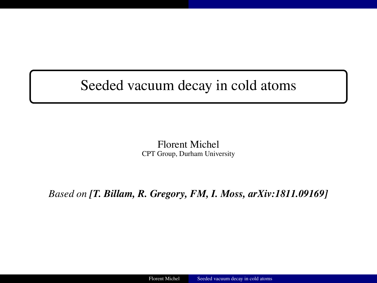#### <span id="page-0-0"></span>Seeded vacuum decay in cold atoms

Florent Michel CPT Group, Durham University

*Based on [T. Billam, R. Gregory, FM, I. Moss, arXiv:1811.09169]*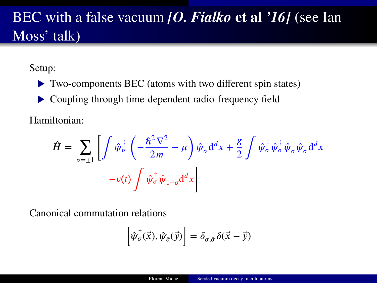## BEC with a false vacuum *[O. Fialko* **et al** *'16]* (see Ian Moss' talk)

Setup:

▶ Two-components BEC (atoms with two different spin states)

▶ Coupling through time-dependent radio-frequency field

Hamiltonian:

$$
\hat{H} = \sum_{\sigma=\pm 1} \left[ \int \hat{\psi}_{\sigma}^{\dagger} \left( -\frac{\hbar^2 \nabla^2}{2m} - \mu \right) \hat{\psi}_{\sigma} d^d x + \frac{g}{2} \int \hat{\psi}_{\sigma}^{\dagger} \hat{\psi}_{\sigma}^{\dagger} \hat{\psi}_{\sigma} \hat{\psi}_{\sigma} d^d x \right. \left. -v(t) \int \hat{\psi}_{\sigma}^{\dagger} \hat{\psi}_{1-\sigma} d^d x \right]
$$

Canonical commutation relations

$$
\left[\hat{\psi}_{\sigma}^{\dagger}(\vec{x}),\hat{\psi}_{\bar{\sigma}}(\vec{y})\right]=\delta_{\sigma,\bar{\sigma}}\,\delta(\vec{x}-\vec{y})
$$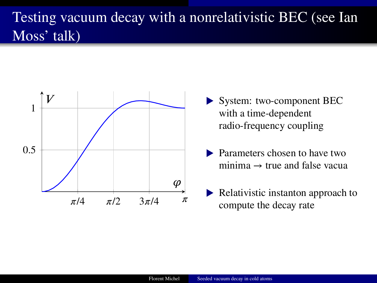# Testing vacuum decay with a nonrelativistic BEC (see Ian Moss' talk)



- ▶ System: two-component BEC with a time-dependent radio-frequency coupling
- Parameters chosen to have two minima  $\rightarrow$  true and false vacua
- **▶ Relativistic instanton approach to** compute the decay rate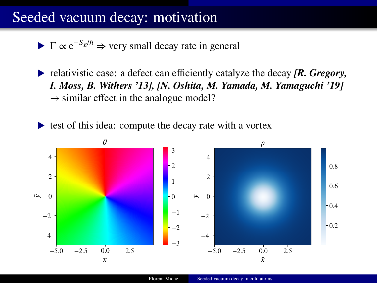#### Seeded vacuum decay: motivation

 $\blacktriangleright$  Γ  $\propto$  e<sup>-S<sub>E</sub>/ $\hbar$ </sup>  $\Rightarrow$  very small decay rate in general

▶ relativistic case: a defect can efficiently catalyze the decay *[R. Gregory, I. Moss, B. Withers '13], [N. Oshita, M. Yamada, M. Yamaguchi '19]*  $\rightarrow$  similar effect in the analogue model?

▶ test of this idea: compute the decay rate with a vortex

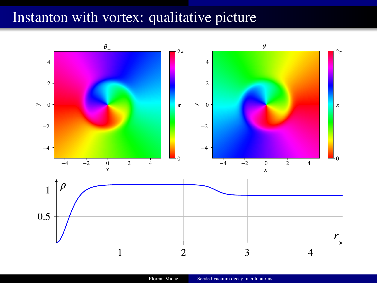### Instanton with vortex: qualitative picture

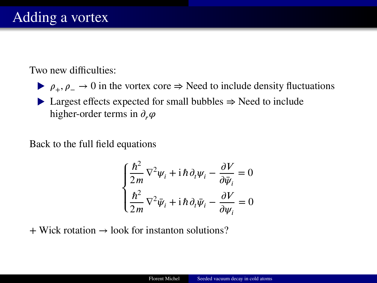Two new difficulties:

 $\rho_+$ ,  $\rho_- \to 0$  in the vortex core  $\Rightarrow$  Need to include density fluctuations

▶ Largest effects expected for small bubbles ⇒ Need to include higher-order terms in  $\partial_r \varphi$ 

Back to the full field equations

$$
\begin{cases} \frac{\hbar^2}{2m} \nabla^2 \psi_i + i \hbar \partial_i \psi_i - \frac{\partial V}{\partial \bar{\psi}_i} = 0\\ \frac{\hbar^2}{2m} \nabla^2 \bar{\psi}_i + i \hbar \partial_i \bar{\psi}_i - \frac{\partial V}{\partial \psi_i} = 0 \end{cases}
$$

 $+$  Wick rotation  $\rightarrow$  look for instanton solutions?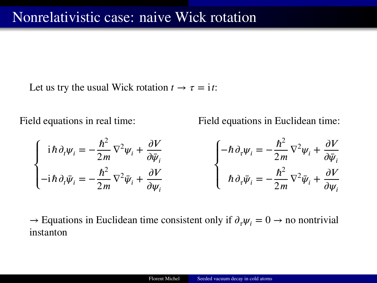Let us try the usual Wick rotation  $t \to \tau = i t$ :

Field equations in real time:

Field equations in Euclidean time:

$$
\begin{cases}\ni\hbar\,\partial_i\psi_i = -\frac{\hbar^2}{2m}\nabla^2\psi_i + \frac{\partial V}{\partial \bar{\psi}_i} \\
-i\hbar\,\partial_i\bar{\psi}_i = -\frac{\hbar^2}{2m}\nabla^2\bar{\psi}_i + \frac{\partial V}{\partial \psi_i}\n\end{cases}\n\begin{cases}\n-\hbar\,\partial_{\tau}\psi_i = -\frac{\hbar^2}{2m}\nabla^2\psi_i + \frac{\partial V}{\partial \bar{\psi}_i} \\
\hbar\,\partial_{\tau}\bar{\psi}_i = -\frac{\hbar^2}{2m}\nabla^2\bar{\psi}_i + \frac{\partial V}{\partial \psi_i}\n\end{cases}
$$

 $\rightarrow$  Equations in Euclidean time consistent only if  $\partial_{\tau} \psi_i = 0 \rightarrow$  no nontrivial instanton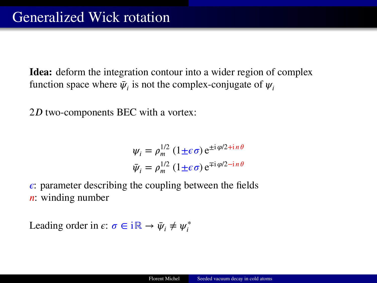**Idea:** deform the integration contour into a wider region of complex function space where  $\bar{\psi}_i$  is not the complex-conjugate of  $\psi_i$ 

 $2D$  two-components BEC with a vortex:

$$
\psi_i = \rho_m^{1/2} (1 \pm \epsilon \sigma) e^{\pm i \varphi/2 + i n \theta}
$$
  

$$
\bar{\psi}_i = \rho_m^{1/2} (1 \pm \epsilon \sigma) e^{\mp i \varphi/2 - i n \theta}
$$

 $\epsilon$ : parameter describing the coupling between the fields  $\mathbf{n}$ : winding number

Leading order in  $\epsilon: \sigma \in i\mathbb{R} \to \bar{\psi}_i \neq \psi_i^*$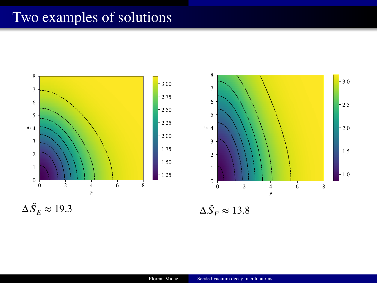### Two examples of solutions

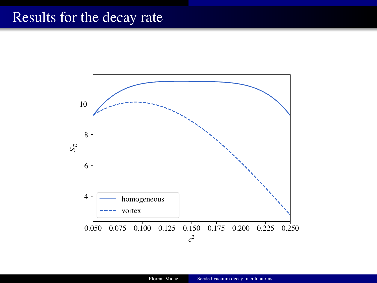#### Results for the decay rate

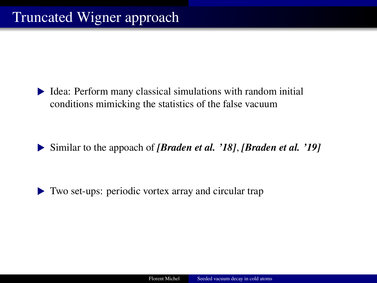▶ Idea: Perform many classical simulations with random initial conditions mimicking the statistics of the false vacuum

▶ Similar to the appoach of *[Braden et al. '18]*, *[Braden et al. '19]*

▶ Two set-ups: periodic vortex array and circular trap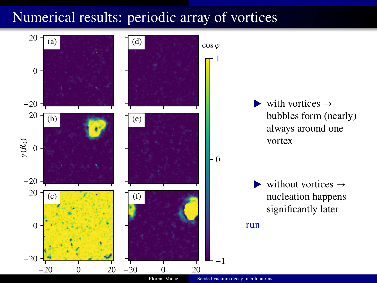#### Numerical results: periodic array of vortices

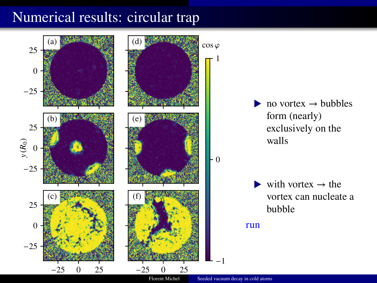### Numerical results: circular trap

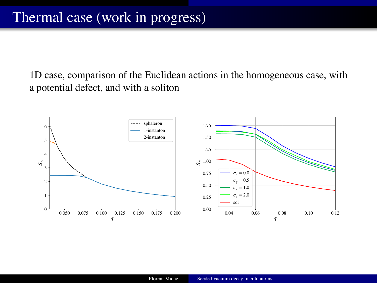1D case, comparison of the Euclidean actions in the homogeneous case, with a potential defect, and with a soliton

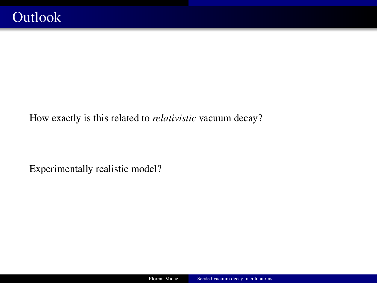How exactly is this related to *relativistic* vacuum decay?

Experimentally realistic model?